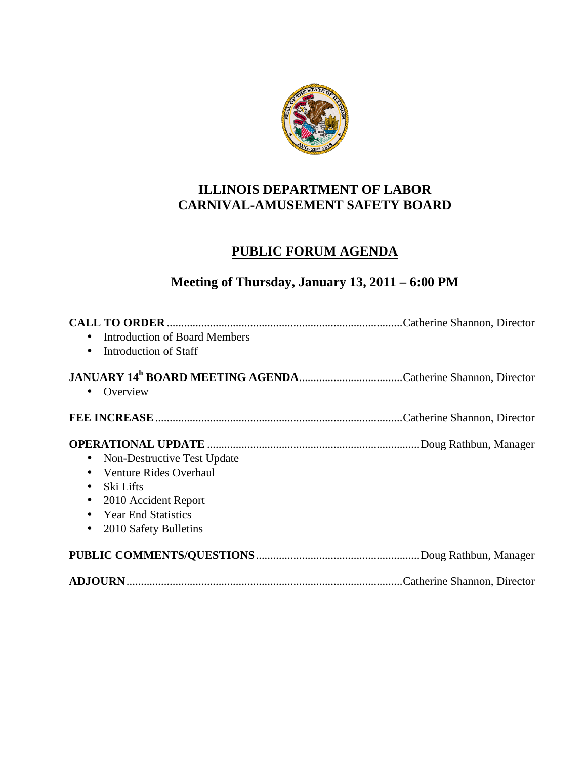

### **ILLINOIS DEPARTMENT OF LABOR CARNIVAL-AMUSEMENT SAFETY BOARD**

## **PUBLIC FORUM AGENDA**

# **Meeting of Thursday, January 13, 2011 – 6:00 PM**

| <b>Introduction of Board Members</b><br>$\bullet$<br>Introduction of Staff<br>$\bullet$                                                                                                                                         |  |
|---------------------------------------------------------------------------------------------------------------------------------------------------------------------------------------------------------------------------------|--|
| Overview<br>$\bullet$                                                                                                                                                                                                           |  |
|                                                                                                                                                                                                                                 |  |
| Non-Destructive Test Update<br>$\bullet$<br>Venture Rides Overhaul<br>$\bullet$<br>Ski Lifts<br>$\bullet$<br>2010 Accident Report<br>$\bullet$<br><b>Year End Statistics</b><br>$\bullet$<br>2010 Safety Bulletins<br>$\bullet$ |  |
|                                                                                                                                                                                                                                 |  |
|                                                                                                                                                                                                                                 |  |